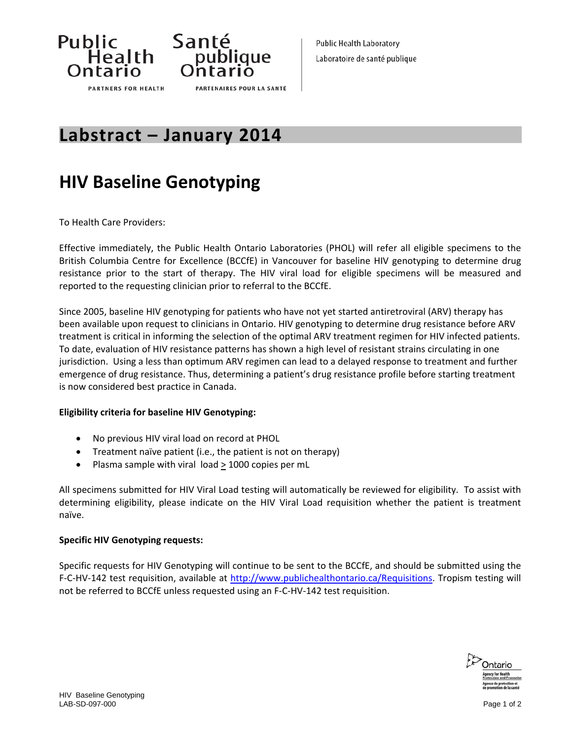



## **Labstract – January 2014**

# **HIV Baseline Genotyping**

To Health Care Providers:

Effective immediately, the Public Health Ontario Laboratories (PHOL) will refer all eligible specimens to the British Columbia Centre for Excellence (BCCfE) in Vancouver for baseline HIV genotyping to determine drug resistance prior to the start of therapy. The HIV viral load for eligible specimens will be measured and reported to the requesting clinician prior to referral to the BCCfE.

Since 2005, baseline HIV genotyping for patients who have not yet started antiretroviral (ARV) therapy has been available upon request to clinicians in Ontario. HIV genotyping to determine drug resistance before ARV treatment is critical in informing the selection of the optimal ARV treatment regimen for HIV infected patients. To date, evaluation of HIV resistance patterns has shown a high level of resistant strains circulating in one jurisdiction. Using a less than optimum ARV regimen can lead to a delayed response to treatment and further emergence of drug resistance. Thus, determining a patient's drug resistance profile before starting treatment is now considered best practice in Canada.

## **Eligibility criteria for baseline HIV Genotyping:**

- No previous HIV viral load on record at PHOL
- Treatment naïve patient (i.e., the patient is not on therapy)
- Plasma sample with viral  $load \geq 1000$  copies per mL

All specimens submitted for HIV Viral Load testing will automatically be reviewed for eligibility. To assist with determining eligibility, please indicate on the HIV Viral Load requisition whether the patient is treatment naïve.

## **Specific HIV Genotyping requests:**

Specific requests for HIV Genotyping will continue to be sent to the BCCfE, and should be submitted using the F-C-HV-142 test requisition, available at <http://www.publichealthontario.ca/Requisitions>. Tropism testing will not be referred to BCCfE unless requested using an F‐C‐HV‐142 test requisition.